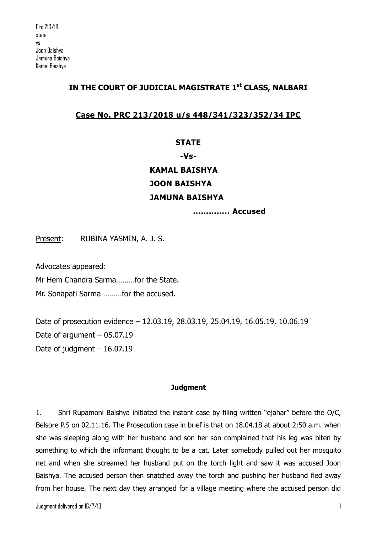## **IN THE COURT OF JUDICIAL MAGISTRATE 1st CLASS, NALBARI**

## **Case No. PRC 213/2018 u/s 448/341/323/352/34 IPC**

## **STATE**

## **-Vs-**

# **KAMAL BAISHYA JOON BAISHYA JAMUNA BAISHYA**

**………….. Accused**

Present: RUBINA YASMIN, A. J. S.

Advocates appeared:

Mr Hem Chandra Sarma………for the State.

Mr. Sonapati Sarma ………for the accused.

Date of prosecution evidence – 12.03.19, 28.03.19, 25.04.19, 16.05.19, 10.06.19 Date of argument – 05.07.19 Date of judgment – 16.07.19

#### **Judgment**

1. Shri Rupamoni Baishya initiated the instant case by filing written "ejahar" before the O/C, Belsore P.S on 02.11.16. The Prosecution case in brief is that on 18.04.18 at about 2:50 a.m. when she was sleeping along with her husband and son her son complained that his leg was biten by something to which the informant thought to be a cat. Later somebody pulled out her mosquito net and when she screamed her husband put on the torch light and saw it was accused Joon Baishya. The accused person then snatched away the torch and pushing her husband fled away from her house. The next day they arranged for a village meeting where the accused person did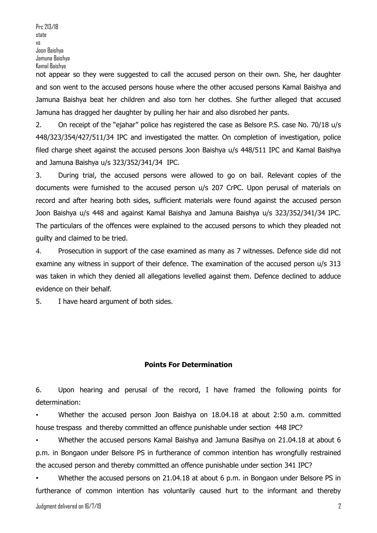Prc 213/18 state vs Joon Baishya Jamuna Baishya Kamal Baishya

not appear so they were suggested to call the accused person on their own. She, her daughter and son went to the accused persons house where the other accused persons Kamal Baishya and Jamuna Baishya beat her children and also torn her clothes. She further alleged that accused Jamuna has dragged her daughter by pulling her hair and also disrobed her pants.

2. On receipt of the "ejahar" police has registered the case as Belsore P.S. case No. 70/18 u/s 448/323/354/427/511/34 IPC and investigated the matter. On completion of investigation, police filed charge sheet against the accused persons Joon Baishya u/s 448/511 IPC and Kamal Baishya and Jamuna Baishya u/s 323/352/341/34 IPC.

3. During trial, the accused persons were allowed to go on bail. Relevant copies of the documents were furnished to the accused person u/s 207 CrPC. Upon perusal of materials on record and after hearing both sides, sufficient materials were found against the accused person Joon Baishya u/s 448 and against Kamal Baishya and Jamuna Baishya u/s 323/352/341/34 IPC. The particulars of the offences were explained to the accused persons to which they pleaded not guilty and claimed to be tried.

4. Prosecution in support of the case examined as many as 7 witnesses. Defence side did not examine any witness in support of their defence. The examination of the accused person u/s 313 was taken in which they denied all allegations levelled against them. Defence declined to adduce evidence on their behalf.

5. I have heard argument of both sides.

#### **Points For Determination**

6. Upon hearing and perusal of the record, I have framed the following points for determination:

• Whether the accused person Joon Baishya on 18.04.18 at about 2:50 a.m. committed house trespass and thereby committed an offence punishable under section 448 IPC?

• Whether the accused persons Kamal Baishya and Jamuna Basihya on 21.04.18 at about 6 p.m. in Bongaon under Belsore PS in furtherance of common intention has wrongfully restrained the accused person and thereby committed an offence punishable under section 341 IPC?

• Whether the accused persons on 21.04.18 at about 6 p.m. in Bongaon under Belsore PS in furtherance of common intention has voluntarily caused hurt to the informant and thereby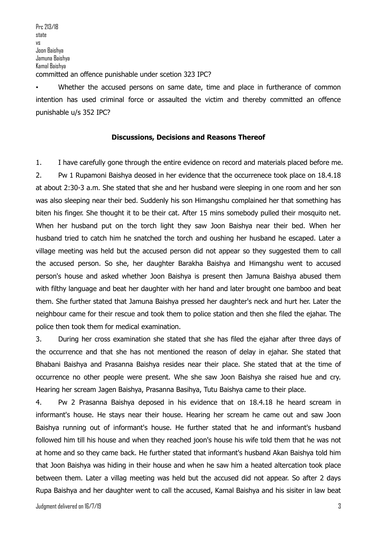Prc 213/18 state vs Joon Baishya Jamuna Baishya Kamal Baishya committed an offence punishable under scetion 323 IPC?

Whether the accused persons on same date, time and place in furtherance of common intention has used criminal force or assaulted the victim and thereby committed an offence punishable u/s 352 IPC?

#### **Discussions, Decisions and Reasons Thereof**

1. I have carefully gone through the entire evidence on record and materials placed before me. 2. Pw 1 Rupamoni Baishya deosed in her evidence that the occurrenece took place on 18.4.18 at about 2:30-3 a.m. She stated that she and her husband were sleeping in one room and her son was also sleeping near their bed. Suddenly his son Himangshu complained her that something has biten his finger. She thought it to be their cat. After 15 mins somebody pulled their mosquito net. When her husband put on the torch light they saw Joon Baishya near their bed. When her husband tried to catch him he snatched the torch and oushing her husband he escaped. Later a village meeting was held but the accused person did not appear so they suggested them to call the accused person. So she, her daughter Barakha Baishya and Himangshu went to accused person's house and asked whether Joon Baishya is present then Jamuna Baishya abused them with filthy language and beat her daughter with her hand and later brought one bamboo and beat them. She further stated that Jamuna Baishya pressed her daughter's neck and hurt her. Later the neighbour came for their rescue and took them to police station and then she filed the ejahar. The police then took them for medical examination.

3. During her cross examination she stated that she has filed the ejahar after three days of the occurrence and that she has not mentioned the reason of delay in ejahar. She stated that Bhabani Baishya and Prasanna Baishya resides near their place. She stated that at the time of occurrence no other people were present. Whe she saw Joon Baishya she raised hue and cry. Hearing her scream Jagen Baishya, Prasanna Basihya, Tutu Baishya came to their place.

4. Pw 2 Prasanna Baishya deposed in his evidence that on 18.4.18 he heard scream in informant's house. He stays near their house. Hearing her scream he came out and saw Joon Baishya running out of informant's house. He further stated that he and informant's husband followed him till his house and when they reached joon's house his wife told them that he was not at home and so they came back. He further stated that informant's husband Akan Baishya told him that Joon Baishya was hiding in their house and when he saw him a heated altercation took place between them. Later a villag meeting was held but the accused did not appear. So after 2 days Rupa Baishya and her daughter went to call the accused, Kamal Baishya and his sisiter in law beat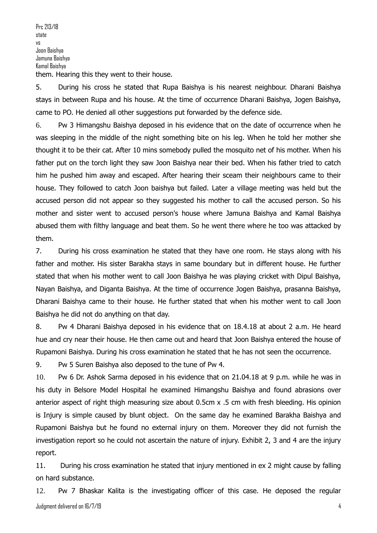Prc 213/18 state vs Joon Baishya Jamuna Baishya Kamal Baishya them. Hearing this they went to their house.

5. During his cross he stated that Rupa Baishya is his nearest neighbour. Dharani Baishya stays in between Rupa and his house. At the time of occurrence Dharani Baishya, Jogen Baishya, came to PO. He denied all other suggestions put forwarded by the defence side.

6. Pw 3 Himangshu Baishya deposed in his evidence that on the date of occurrence when he was sleeping in the middle of the night something bite on his leg. When he told her mother she thought it to be their cat. After 10 mins somebody pulled the mosquito net of his mother. When his father put on the torch light they saw Joon Baishya near their bed. When his father tried to catch him he pushed him away and escaped. After hearing their sceam their neighbours came to their house. They followed to catch Joon baishya but failed. Later a village meeting was held but the accused person did not appear so they suggested his mother to call the accused person. So his mother and sister went to accused person's house where Jamuna Baishya and Kamal Baishya abused them with filthy language and beat them. So he went there where he too was attacked by them.

7. During his cross examination he stated that they have one room. He stays along with his father and mother. His sister Barakha stays in same boundary but in different house. He further stated that when his mother went to call Joon Baishya he was playing cricket with Dipul Baishya, Nayan Baishya, and Diganta Baishya. At the time of occurrence Jogen Baishya, prasanna Baishya, Dharani Baishya came to their house. He further stated that when his mother went to call Joon Baishya he did not do anything on that day.

8. Pw 4 Dharani Baishya deposed in his evidence that on 18.4.18 at about 2 a.m. He heard hue and cry near their house. He then came out and heard that Joon Baishya entered the house of Rupamoni Baishya. During his cross examination he stated that he has not seen the occurrence.

9. Pw 5 Suren Baishya also deposed to the tune of Pw 4.

10. Pw 6 Dr. Ashok Sarma deposed in his evidence that on 21.04.18 at 9 p.m. while he was in his duty in Belsore Model Hospital he examined Himangshu Baishya and found abrasions over anterior aspect of right thigh measuring size about 0.5cm x .5 cm with fresh bleeding. His opinion is Injury is simple caused by blunt object. On the same day he examined Barakha Baishya and Rupamoni Baishya but he found no external injury on them. Moreover they did not furnish the investigation report so he could not ascertain the nature of injury. Exhibit 2, 3 and 4 are the injury report.

11. During his cross examination he stated that injury mentioned in ex 2 might cause by falling on hard substance.

Judgment delivered on 16/7/19 4 12. Pw 7 Bhaskar Kalita is the investigating officer of this case. He deposed the regular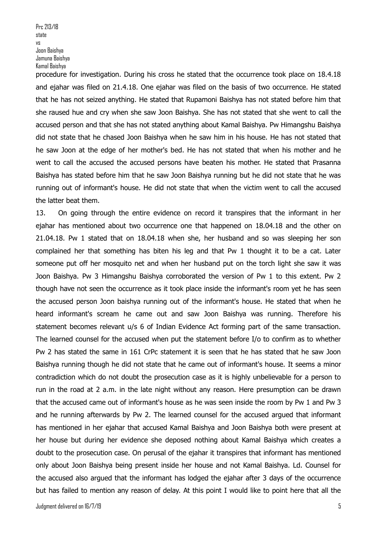procedure for investigation. During his cross he stated that the occurrence took place on 18.4.18 and ejahar was filed on 21.4.18. One ejahar was filed on the basis of two occurrence. He stated that he has not seized anything. He stated that Rupamoni Baishya has not stated before him that she raused hue and cry when she saw Joon Baishya. She has not stated that she went to call the accused person and that she has not stated anything about Kamal Baishya. Pw Himangshu Baishya did not state that he chased Joon Baishya when he saw him in his house. He has not stated that he saw Joon at the edge of her mother's bed. He has not stated that when his mother and he went to call the accused the accused persons have beaten his mother. He stated that Prasanna Baishya has stated before him that he saw Joon Baishya running but he did not state that he was running out of informant's house. He did not state that when the victim went to call the accused the latter beat them.

13. On going through the entire evidence on record it transpires that the informant in her ejahar has mentioned about two occurrence one that happened on 18.04.18 and the other on 21.04.18. Pw 1 stated that on 18.04.18 when she, her husband and so was sleeping her son complained her that something has biten his leg and that Pw 1 thought it to be a cat. Later someone put off her mosquito net and when her husband put on the torch light she saw it was Joon Baishya. Pw 3 Himangshu Baishya corroborated the version of Pw 1 to this extent. Pw 2 though have not seen the occurrence as it took place inside the informant's room yet he has seen the accused person Joon baishya running out of the informant's house. He stated that when he heard informant's scream he came out and saw Joon Baishya was running. Therefore his statement becomes relevant u/s 6 of Indian Evidence Act forming part of the same transaction. The learned counsel for the accused when put the statement before I/o to confirm as to whether Pw 2 has stated the same in 161 CrPc statement it is seen that he has stated that he saw Joon Baishya running though he did not state that he came out of informant's house. It seems a minor contradiction which do not doubt the prosecution case as it is highly unbelievable for a person to run in the road at 2 a.m. in the late night without any reason. Here presumption can be drawn that the accused came out of informant's house as he was seen inside the room by Pw 1 and Pw 3 and he running afterwards by Pw 2. The learned counsel for the accused argued that informant has mentioned in her ejahar that accused Kamal Baishya and Joon Baishya both were present at her house but during her evidence she deposed nothing about Kamal Baishya which creates a doubt to the prosecution case. On perusal of the ejahar it transpires that informant has mentioned only about Joon Baishya being present inside her house and not Kamal Baishya. Ld. Counsel for the accused also argued that the informant has lodged the ejahar after 3 days of the occurrence but has failed to mention any reason of delay. At this point I would like to point here that all the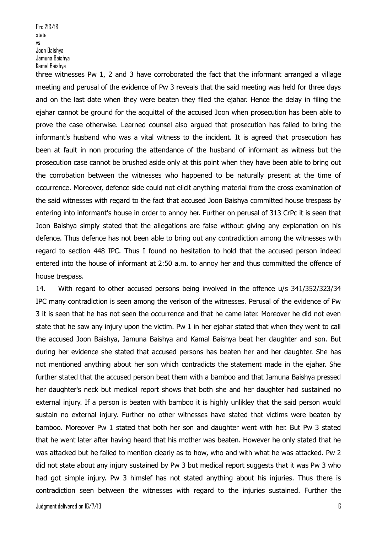Prc 213/18 state vs Joon Baishya Jamuna Baishya Kamal Baishya

three witnesses Pw 1, 2 and 3 have corroborated the fact that the informant arranged a village meeting and perusal of the evidence of Pw 3 reveals that the said meeting was held for three days and on the last date when they were beaten they filed the ejahar. Hence the delay in filing the ejahar cannot be ground for the acquittal of the accused Joon when prosecution has been able to prove the case otherwise. Learned counsel also argued that prosecution has failed to bring the informant's husband who was a vital witness to the incident. It is agreed that prosecution has been at fault in non procuring the attendance of the husband of informant as witness but the prosecution case cannot be brushed aside only at this point when they have been able to bring out the corrobation between the witnesses who happened to be naturally present at the time of occurrence. Moreover, defence side could not elicit anything material from the cross examination of the said witnesses with regard to the fact that accused Joon Baishya committed house trespass by entering into informant's house in order to annoy her. Further on perusal of 313 CrPc it is seen that Joon Baishya simply stated that the allegations are false without giving any explanation on his defence. Thus defence has not been able to bring out any contradiction among the witnesses with regard to section 448 IPC. Thus I found no hesitation to hold that the accused person indeed entered into the house of informant at 2:50 a.m. to annoy her and thus committed the offence of house trespass.

14. With regard to other accused persons being involved in the offence u/s 341/352/323/34 IPC many contradiction is seen among the verison of the witnesses. Perusal of the evidence of Pw 3 it is seen that he has not seen the occurrence and that he came later. Moreover he did not even state that he saw any injury upon the victim. Pw 1 in her ejahar stated that when they went to call the accused Joon Baishya, Jamuna Baishya and Kamal Baishya beat her daughter and son. But during her evidence she stated that accused persons has beaten her and her daughter. She has not mentioned anything about her son which contradicts the statement made in the ejahar. She further stated that the accused person beat them with a bamboo and that Jamuna Baishya pressed her daughter's neck but medical report shows that both she and her daughter had sustained no external injury. If a person is beaten with bamboo it is highly unlikley that the said person would sustain no external injury. Further no other witnesses have stated that victims were beaten by bamboo. Moreover Pw 1 stated that both her son and daughter went with her. But Pw 3 stated that he went later after having heard that his mother was beaten. However he only stated that he was attacked but he failed to mention clearly as to how, who and with what he was attacked. Pw 2 did not state about any injury sustained by Pw 3 but medical report suggests that it was Pw 3 who had got simple injury. Pw 3 himslef has not stated anything about his injuries. Thus there is contradiction seen between the witnesses with regard to the injuries sustained. Further the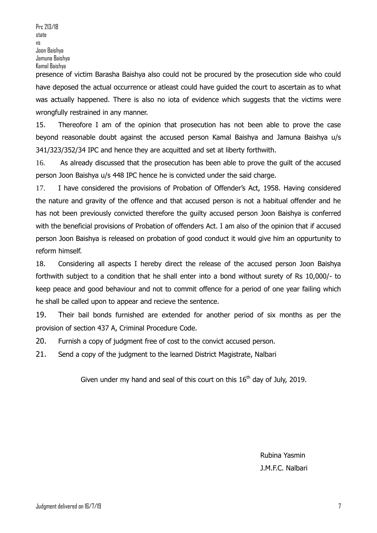presence of victim Barasha Baishya also could not be procured by the prosecution side who could have deposed the actual occurrence or atleast could have guided the court to ascertain as to what was actually happened. There is also no iota of evidence which suggests that the victims were wrongfully restrained in any manner.

15. Thereofore I am of the opinion that prosecution has not been able to prove the case beyond reasonable doubt against the accused person Kamal Baishya and Jamuna Baishya u/s 341/323/352/34 IPC and hence they are acquitted and set at liberty forthwith.

16. As already discussed that the prosecution has been able to prove the guilt of the accused person Joon Baishya u/s 448 IPC hence he is convicted under the said charge.

17. I have considered the provisions of Probation of Offender's Act, 1958. Having considered the nature and gravity of the offence and that accused person is not a habitual offender and he has not been previously convicted therefore the guilty accused person Joon Baishya is conferred with the beneficial provisions of Probation of offenders Act. I am also of the opinion that if accused person Joon Baishya is released on probation of good conduct it would give him an oppurtunity to reform himself.

18. Considering all aspects I hereby direct the release of the accused person Joon Baishya forthwith subject to a condition that he shall enter into a bond without surety of Rs 10,000/- to keep peace and good behaviour and not to commit offence for a period of one year failing which he shall be called upon to appear and recieve the sentence.

19. Their bail bonds furnished are extended for another period of six months as per the provision of section 437 A, Criminal Procedure Code.

20. Furnish a copy of judgment free of cost to the convict accused person.

21. Send a copy of the judgment to the learned District Magistrate, Nalbari

Given under my hand and seal of this court on this  $16<sup>th</sup>$  day of July, 2019.

Rubina Yasmin J.M.F.C. Nalbari